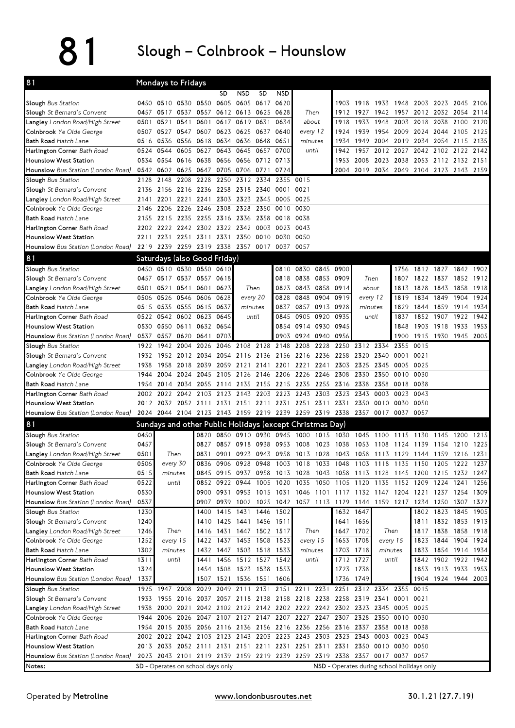## 81 Slough – Colnbrook – Hounslow

| <b>NSD</b><br><b>SD</b><br><b>NSD</b><br>SD<br>0450 0510 0530 0550<br>0605<br>0605 0617<br>0620<br>1918 1933<br>1948<br>2003 2023 2045<br>2106<br>1903<br>0457 0517 0537 0557 0612 0613 0625<br>Then<br>1942 1957 2012 2032 2054<br>0628<br>1912 1927<br>2114<br>2018 2038 2100<br>0521<br>0541<br>0601<br>0617<br>0619 0631<br>0634<br>1933<br>1948<br>2003<br>2120<br><b>Langley</b> London Road/High Street<br>0501<br>about<br>1918<br>0507 0527 0547 0607 0623 0625 0637<br>1939 1954 2009 2024 2044 2105 2125<br><b>Colnbrook</b> Ye Olde George<br>0640<br>every 12<br>1924<br>0556 0618<br>0634 0636 0648<br>2034 2054 2115<br>2135<br>0516<br>0536<br>0651<br>minutes<br>1934<br>1949 2004 2019<br>0544<br>0605 0627<br>0643<br>0645<br>0657<br>0700<br>1957 2012 2027<br>2042 2102 2122<br>0524<br>1942<br>2142<br>until<br>0554<br>0616 0638<br>0656 0656 0712<br>2008 2023 2038 2053 2112 2132<br>0534<br>0713<br>1953<br>2151<br>0542 0602 0625 0647<br>0705 0706 0721<br>2019 2034 2049 2104 2123 2143 2159<br>0724<br>2004<br>2148<br>2208 2228<br>2250<br>2128<br>2312 2334<br>2355 0015<br>2156 2216 2236 2258 2318 2340<br>0001 0021<br>2136<br>Langley London Road/High Street<br>2201 2221 2241 2303 2323 2345<br>0005 0025<br>2141<br>2226 2246<br>2206<br>2308 2328 2350<br>0010<br>0030<br><b>Colnbrook</b> Ye Olde George<br>2146<br>2215 2235 2255 2316 2336 2358<br>2155<br>0018 0038<br>2222 2242 2302 2322 2342 0003<br>0023<br>0043<br>2202<br>2211 2231 2251 2311 2331<br>2350 0010<br>0030 0050<br>2219 2239 2259 2319 2338 2357 0017<br>0037 0057<br>Saturdays (also Good Friday)<br>0450 0510 0530 0550 0610<br>Slough Bus Station<br>0810 0830 0845 0900<br>0457 0517 0537 0557 0618<br>0818 0838 0853 0909<br>Then<br>1822 1837<br>1912<br>Slough St Bernard's Convent<br>1807<br>1852<br>0501 0521 0541 0601<br>Then<br>0823 0843 0858 0914<br>1843<br><b>Langley</b> London Road/High Street<br>0623<br>about<br>1828<br>1858<br>1918<br>1813<br>0526 0546 0606<br>0628<br>every 20<br>0828<br>0848 0904<br>0919<br>every 12<br>1819<br>1834<br>1849<br>1904<br>1924<br><b>Colnbrook</b> Ye Olde George<br>0506<br><b>Bath Road Hatch Lane</b><br>0515 0535 0555 0615<br>0637<br>0837<br>0857 0913 0928<br>1859<br>minutes<br>minutes<br>1829<br>1844<br>1914<br>1934<br>0645<br>0845 0905 0920<br>0522 0542 0602 0623<br>0935<br>1852 1907<br>1922<br>Harlington Corner Bath Road<br>1837<br>1942<br>until<br>until<br>0530<br>0550 0611 0632<br>0654<br>0854 0914 0930<br>0945<br>1903 1918<br>1933<br>1953<br><b>Hounslow West Station</b><br>1848<br>Hounslow Bus Station (London Road)<br>0537 0557 0620 0641<br>0703<br>0903 0924 0940<br>0956<br>1915 1930 1945 2005<br>1900<br>2108 2128<br>2208<br>2355<br>0015<br>Slough Bus Station<br>1922<br>1942<br>2004 2026<br>2046<br>2148<br>2228<br>2250<br>2312 2334<br>2054 2116 2136 2156 2216 2236 2258 2320 2340<br>Slough St Bernard's Convent<br>1932<br>1952 2012 2034<br>0001<br>0021<br>2018 2039<br>2059 2121 2141<br>2201 2221 2241<br>2303 2325 2345<br>0025<br><b>Langley</b> London Road/High Street<br>1938<br>1958<br>0005<br>2105 2126 2146 2206 2226 2246<br>2004<br>2024 2045<br>2308<br>2330 2350<br>0010<br>0030<br><b>Colnbrook</b> Ye Olde George<br>1944<br>2014 2034 2055 2114 2135 2155 2215 2235 2255 2316 2338 2358 0018<br>0038<br><b>Bath Road Hatch Lane</b><br>1954<br>Harlington Corner Bath Road<br>2022 2042 2103 2123 2143 2203 2223 2243 2303 2323 2343 0003<br>0023<br>0043<br>2002<br>2012 2032 2052 2111 2131 2151 2211 2231 2251 2311 2331 2350 0010<br><b>Hounslow West Station</b><br>0030<br>0050<br>2024 2044 2104 2123 2143 2159 2219 2239 2259 2319 2338 2357 0017 0037<br>0057<br>Hounslow Bus Station (London Road)<br>81<br>Sundays and other Public Holidays (except Christmas Day)<br>Slough Bus Station<br>0450<br>0820 0850 0910 0930 0945 1000 1015 1030<br>1045 1100<br>1115<br>1130<br>1145<br>1200<br>1215<br>0457<br>0827<br>0857 0918 0938<br>1023<br>1225<br>Slough St Bernard's Convent<br>0953 1008<br>1038<br>1053 1108<br>1139<br>1124<br>1154<br>1210<br>Langley London Road/High Street<br>0501<br>Then<br>0831<br>0901 0923 0943 0958 1013 1028 1043 1058 1113 1129 1144 1159 1216 1231<br>0506<br>0836<br>Colnbrook Ye Olde George<br>every 30<br>0906 0928 0948 1003 1018 1033 1048 1103 1118 1135 1150 1205 1222 1237<br>0515<br><b>Bath Road Hatch Lane</b><br>0845 0915 0937 0958<br>minutes<br>0522<br>until<br>Harlington Corner Bath Road<br>0852<br>0922 0944<br>1020<br>1050<br>1105 1120 1135 1152 1209 1224 1241<br>1256<br>1005<br>1035<br>0530<br>0900<br>0931<br><b>Hounslow West Station</b><br>0953 1015<br>1031<br>0537<br>Hounslow Bus Station (London Road)<br>0907<br>0939<br>1002 1025 1042 1057 1113 1129 1144 1159 1217 1234 1250 1307<br>1322<br>1415 1431 1446<br>1802 1823 1845<br>1230<br>1502<br>1632 1647<br>1905<br>Slough Bus Station<br>1400<br>1425 1441 1456 1511<br>Slough St Bernard's Convent<br>1240<br>1410<br>1641 1656<br>Then<br>1447 1502 1517<br>Then<br>1647 1702<br>Then<br>1838<br><b>Langley</b> London Road/High Street<br>1246<br>1431<br>1817<br>1416<br>1252<br>1437 1453 1508 1523<br>1653 1708<br>1823 1844<br><b>Colnbrook</b> Ye Olde George<br>every 15<br>1422<br>every 15<br>every 15<br>Bath Road Hatch Lane<br>1302<br>minutes<br>1432<br>1447 1503 1518 1533<br>minutes<br>1703 1718<br>minutes<br>1833 1854 1914 1934<br>until<br>1456 1512 1527 1542<br>until<br>1712 1727<br>1842 1902 1922 1942<br>Harlington Corner Bath Road<br>1311<br>1441<br>until<br>1324<br>1508 1523 1538 1553<br>Hounslow West Station<br>1454<br>1723 1738<br>Hounslow Bus Station (London Road)<br>1337<br>1507<br>1521 1536 1551 1606<br>1736 1749<br>1904 1924 1944 2003<br>1925 1947<br>2008 2029<br>2049 2111 2131 2151 2211 2231 2251<br>2312 2334 2355<br>0015<br><b>Slough</b> Bus Station<br>Slough St Bernard's Convent<br>2158 2218 2238 2258 2319 2341<br>0021<br>1933<br>1955 2016 2037<br>2057 2118 2138<br>0001<br>0025<br><b>Langley</b> London Road/High Street<br>1938<br>2000 2021 2042 2102 2122 2142 2202 2222 2242 2302 2323 2345 0005<br>1944 2006 2026 2047 2107 2127 2147 2207 2227 2247 2307 2328 2350 0010<br>0030<br><b>Colnbrook</b> Ye Olde George<br>1954 2015 2035 2056 2116 2136 2156 2216 2236 2256 2316 2337 2358 0018 0038<br><b>Bath Road Hatch Lane</b><br>Harlington Corner Bath Road<br>2002 2022 2042 2103 2123 2143 2203 2223 2243 2303 2323 2343 0003 0023<br>0043<br>2013 2033 2052 2111 2131 2151 2211 2231 2251 2311 2331 2350 0010<br>Hounslow West Station<br>0030<br>0050<br>2023 2043 2101 2119 2139 2159 2219 2239 2259 2319 2338 2357 0017 0037 0057<br>Hounslow Bus Station (London Road)<br>SD - Operates on school days only<br>NSD - Operates during school holidays only | 81                                 |  | Mondays to Fridays |  |  |  |  |  |  |  |  |  |  |  |
|---------------------------------------------------------------------------------------------------------------------------------------------------------------------------------------------------------------------------------------------------------------------------------------------------------------------------------------------------------------------------------------------------------------------------------------------------------------------------------------------------------------------------------------------------------------------------------------------------------------------------------------------------------------------------------------------------------------------------------------------------------------------------------------------------------------------------------------------------------------------------------------------------------------------------------------------------------------------------------------------------------------------------------------------------------------------------------------------------------------------------------------------------------------------------------------------------------------------------------------------------------------------------------------------------------------------------------------------------------------------------------------------------------------------------------------------------------------------------------------------------------------------------------------------------------------------------------------------------------------------------------------------------------------------------------------------------------------------------------------------------------------------------------------------------------------------------------------------------------------------------------------------------------------------------------------------------------------------------------------------------------------------------------------------------------------------------------------------------------------------------------------------------------------------------------------------------------------------------------------------------------------------------------------------------------------------------------------------------------------------------------------------------------------------------------------------------------------------------------------------------------------------------------------------------------------------------------------------------------------------------------------------------------------------------------------------------------------------------------------------------------------------------------------------------------------------------------------------------------------------------------------------------------------------------------------------------------------------------------------------------------------------------------------------------------------------------------------------------------------------------------------------------------------------------------------------------------------------------------------------------------------------------------------------------------------------------------------------------------------------------------------------------------------------------------------------------------------------------------------------------------------------------------------------------------------------------------------------------------------------------------------------------------------------------------------------------------------------------------------------------------------------------------------------------------------------------------------------------------------------------------------------------------------------------------------------------------------------------------------------------------------------------------------------------------------------------------------------------------------------------------------------------------------------------------------------------------------------------------------------------------------------------------------------------------------------------------------------------------------------------------------------------------------------------------------------------------------------------------------------------------------------------------------------------------------------------------------------------------------------------------------------------------------------------------------------------------------------------------------------------------------------------------------------------------------------------------------------------------------------------------------------------------------------------------------------------------------------------------------------------------------------------------------------------------------------------------------------------------------------------------------------------------------------------------------------------------------------------------------------------------------------------------------------------------------------------------------------------------------------------------------------------------------------------------------------------------------------------------------------------------------------------------------------------------------------------------------------------------------------------------------------------------------------------------------------------------------------------------------------------------------------------------------------------------------------------------------------------------------------------------------------------------------------------------------------------------------------------------------------------------------------------------------------------------------------------------------------------------------------------------------------------------------------------------------------------------------------------------------------------------------------------------------------------------------------------------------------------------------------------------------------------------------------------------------------------------------------------------------------------------------------------------------------------------------------------------------------------------------------------------------------------------------------------------------------------------------------------------------------------------------------------------------------------------------------------------------------|------------------------------------|--|--------------------|--|--|--|--|--|--|--|--|--|--|--|
|                                                                                                                                                                                                                                                                                                                                                                                                                                                                                                                                                                                                                                                                                                                                                                                                                                                                                                                                                                                                                                                                                                                                                                                                                                                                                                                                                                                                                                                                                                                                                                                                                                                                                                                                                                                                                                                                                                                                                                                                                                                                                                                                                                                                                                                                                                                                                                                                                                                                                                                                                                                                                                                                                                                                                                                                                                                                                                                                                                                                                                                                                                                                                                                                                                                                                                                                                                                                                                                                                                                                                                                                                                                                                                                                                                                                                                                                                                                                                                                                                                                                                                                                                                                                                                                                                                                                                                                                                                                                                                                                                                                                                                                                                                                                                                                                                                                                                                                                                                                                                                                                                                                                                                                                                                                                                                                                                                                                                                                                                                                                                                                                                                                                                                                                                                                                                                                                                                                                                                                                                                                                                                                                                                                                                                                                                                                                                                                                                                                                                                                                                                                                                                                                                                                                                                                                                                             |                                    |  |                    |  |  |  |  |  |  |  |  |  |  |  |
|                                                                                                                                                                                                                                                                                                                                                                                                                                                                                                                                                                                                                                                                                                                                                                                                                                                                                                                                                                                                                                                                                                                                                                                                                                                                                                                                                                                                                                                                                                                                                                                                                                                                                                                                                                                                                                                                                                                                                                                                                                                                                                                                                                                                                                                                                                                                                                                                                                                                                                                                                                                                                                                                                                                                                                                                                                                                                                                                                                                                                                                                                                                                                                                                                                                                                                                                                                                                                                                                                                                                                                                                                                                                                                                                                                                                                                                                                                                                                                                                                                                                                                                                                                                                                                                                                                                                                                                                                                                                                                                                                                                                                                                                                                                                                                                                                                                                                                                                                                                                                                                                                                                                                                                                                                                                                                                                                                                                                                                                                                                                                                                                                                                                                                                                                                                                                                                                                                                                                                                                                                                                                                                                                                                                                                                                                                                                                                                                                                                                                                                                                                                                                                                                                                                                                                                                                                             | Slough Bus Station                 |  |                    |  |  |  |  |  |  |  |  |  |  |  |
|                                                                                                                                                                                                                                                                                                                                                                                                                                                                                                                                                                                                                                                                                                                                                                                                                                                                                                                                                                                                                                                                                                                                                                                                                                                                                                                                                                                                                                                                                                                                                                                                                                                                                                                                                                                                                                                                                                                                                                                                                                                                                                                                                                                                                                                                                                                                                                                                                                                                                                                                                                                                                                                                                                                                                                                                                                                                                                                                                                                                                                                                                                                                                                                                                                                                                                                                                                                                                                                                                                                                                                                                                                                                                                                                                                                                                                                                                                                                                                                                                                                                                                                                                                                                                                                                                                                                                                                                                                                                                                                                                                                                                                                                                                                                                                                                                                                                                                                                                                                                                                                                                                                                                                                                                                                                                                                                                                                                                                                                                                                                                                                                                                                                                                                                                                                                                                                                                                                                                                                                                                                                                                                                                                                                                                                                                                                                                                                                                                                                                                                                                                                                                                                                                                                                                                                                                                             | Slough St Bernard's Convent        |  |                    |  |  |  |  |  |  |  |  |  |  |  |
| 1756 1812 1827 1842 1902<br>1013 1028 1043 1058 1113 1128 1145 1200 1215 1232 1247<br>1046 1101 1117 1132 1147 1204 1221 1237 1254 1309<br>1811 1832 1853 1913<br>1858 1918<br>1904 1924<br>1853 1913 1933 1953                                                                                                                                                                                                                                                                                                                                                                                                                                                                                                                                                                                                                                                                                                                                                                                                                                                                                                                                                                                                                                                                                                                                                                                                                                                                                                                                                                                                                                                                                                                                                                                                                                                                                                                                                                                                                                                                                                                                                                                                                                                                                                                                                                                                                                                                                                                                                                                                                                                                                                                                                                                                                                                                                                                                                                                                                                                                                                                                                                                                                                                                                                                                                                                                                                                                                                                                                                                                                                                                                                                                                                                                                                                                                                                                                                                                                                                                                                                                                                                                                                                                                                                                                                                                                                                                                                                                                                                                                                                                                                                                                                                                                                                                                                                                                                                                                                                                                                                                                                                                                                                                                                                                                                                                                                                                                                                                                                                                                                                                                                                                                                                                                                                                                                                                                                                                                                                                                                                                                                                                                                                                                                                                                                                                                                                                                                                                                                                                                                                                                                                                                                                                                             |                                    |  |                    |  |  |  |  |  |  |  |  |  |  |  |
|                                                                                                                                                                                                                                                                                                                                                                                                                                                                                                                                                                                                                                                                                                                                                                                                                                                                                                                                                                                                                                                                                                                                                                                                                                                                                                                                                                                                                                                                                                                                                                                                                                                                                                                                                                                                                                                                                                                                                                                                                                                                                                                                                                                                                                                                                                                                                                                                                                                                                                                                                                                                                                                                                                                                                                                                                                                                                                                                                                                                                                                                                                                                                                                                                                                                                                                                                                                                                                                                                                                                                                                                                                                                                                                                                                                                                                                                                                                                                                                                                                                                                                                                                                                                                                                                                                                                                                                                                                                                                                                                                                                                                                                                                                                                                                                                                                                                                                                                                                                                                                                                                                                                                                                                                                                                                                                                                                                                                                                                                                                                                                                                                                                                                                                                                                                                                                                                                                                                                                                                                                                                                                                                                                                                                                                                                                                                                                                                                                                                                                                                                                                                                                                                                                                                                                                                                                             |                                    |  |                    |  |  |  |  |  |  |  |  |  |  |  |
|                                                                                                                                                                                                                                                                                                                                                                                                                                                                                                                                                                                                                                                                                                                                                                                                                                                                                                                                                                                                                                                                                                                                                                                                                                                                                                                                                                                                                                                                                                                                                                                                                                                                                                                                                                                                                                                                                                                                                                                                                                                                                                                                                                                                                                                                                                                                                                                                                                                                                                                                                                                                                                                                                                                                                                                                                                                                                                                                                                                                                                                                                                                                                                                                                                                                                                                                                                                                                                                                                                                                                                                                                                                                                                                                                                                                                                                                                                                                                                                                                                                                                                                                                                                                                                                                                                                                                                                                                                                                                                                                                                                                                                                                                                                                                                                                                                                                                                                                                                                                                                                                                                                                                                                                                                                                                                                                                                                                                                                                                                                                                                                                                                                                                                                                                                                                                                                                                                                                                                                                                                                                                                                                                                                                                                                                                                                                                                                                                                                                                                                                                                                                                                                                                                                                                                                                                                             | <b>Bath Road Hatch Lane</b>        |  |                    |  |  |  |  |  |  |  |  |  |  |  |
|                                                                                                                                                                                                                                                                                                                                                                                                                                                                                                                                                                                                                                                                                                                                                                                                                                                                                                                                                                                                                                                                                                                                                                                                                                                                                                                                                                                                                                                                                                                                                                                                                                                                                                                                                                                                                                                                                                                                                                                                                                                                                                                                                                                                                                                                                                                                                                                                                                                                                                                                                                                                                                                                                                                                                                                                                                                                                                                                                                                                                                                                                                                                                                                                                                                                                                                                                                                                                                                                                                                                                                                                                                                                                                                                                                                                                                                                                                                                                                                                                                                                                                                                                                                                                                                                                                                                                                                                                                                                                                                                                                                                                                                                                                                                                                                                                                                                                                                                                                                                                                                                                                                                                                                                                                                                                                                                                                                                                                                                                                                                                                                                                                                                                                                                                                                                                                                                                                                                                                                                                                                                                                                                                                                                                                                                                                                                                                                                                                                                                                                                                                                                                                                                                                                                                                                                                                             | Harlington Corner Bath Road        |  |                    |  |  |  |  |  |  |  |  |  |  |  |
|                                                                                                                                                                                                                                                                                                                                                                                                                                                                                                                                                                                                                                                                                                                                                                                                                                                                                                                                                                                                                                                                                                                                                                                                                                                                                                                                                                                                                                                                                                                                                                                                                                                                                                                                                                                                                                                                                                                                                                                                                                                                                                                                                                                                                                                                                                                                                                                                                                                                                                                                                                                                                                                                                                                                                                                                                                                                                                                                                                                                                                                                                                                                                                                                                                                                                                                                                                                                                                                                                                                                                                                                                                                                                                                                                                                                                                                                                                                                                                                                                                                                                                                                                                                                                                                                                                                                                                                                                                                                                                                                                                                                                                                                                                                                                                                                                                                                                                                                                                                                                                                                                                                                                                                                                                                                                                                                                                                                                                                                                                                                                                                                                                                                                                                                                                                                                                                                                                                                                                                                                                                                                                                                                                                                                                                                                                                                                                                                                                                                                                                                                                                                                                                                                                                                                                                                                                             | <b>Hounslow West Station</b>       |  |                    |  |  |  |  |  |  |  |  |  |  |  |
|                                                                                                                                                                                                                                                                                                                                                                                                                                                                                                                                                                                                                                                                                                                                                                                                                                                                                                                                                                                                                                                                                                                                                                                                                                                                                                                                                                                                                                                                                                                                                                                                                                                                                                                                                                                                                                                                                                                                                                                                                                                                                                                                                                                                                                                                                                                                                                                                                                                                                                                                                                                                                                                                                                                                                                                                                                                                                                                                                                                                                                                                                                                                                                                                                                                                                                                                                                                                                                                                                                                                                                                                                                                                                                                                                                                                                                                                                                                                                                                                                                                                                                                                                                                                                                                                                                                                                                                                                                                                                                                                                                                                                                                                                                                                                                                                                                                                                                                                                                                                                                                                                                                                                                                                                                                                                                                                                                                                                                                                                                                                                                                                                                                                                                                                                                                                                                                                                                                                                                                                                                                                                                                                                                                                                                                                                                                                                                                                                                                                                                                                                                                                                                                                                                                                                                                                                                             | Hounslow Bus Station (London Road) |  |                    |  |  |  |  |  |  |  |  |  |  |  |
|                                                                                                                                                                                                                                                                                                                                                                                                                                                                                                                                                                                                                                                                                                                                                                                                                                                                                                                                                                                                                                                                                                                                                                                                                                                                                                                                                                                                                                                                                                                                                                                                                                                                                                                                                                                                                                                                                                                                                                                                                                                                                                                                                                                                                                                                                                                                                                                                                                                                                                                                                                                                                                                                                                                                                                                                                                                                                                                                                                                                                                                                                                                                                                                                                                                                                                                                                                                                                                                                                                                                                                                                                                                                                                                                                                                                                                                                                                                                                                                                                                                                                                                                                                                                                                                                                                                                                                                                                                                                                                                                                                                                                                                                                                                                                                                                                                                                                                                                                                                                                                                                                                                                                                                                                                                                                                                                                                                                                                                                                                                                                                                                                                                                                                                                                                                                                                                                                                                                                                                                                                                                                                                                                                                                                                                                                                                                                                                                                                                                                                                                                                                                                                                                                                                                                                                                                                             | Slough Bus Station                 |  |                    |  |  |  |  |  |  |  |  |  |  |  |
|                                                                                                                                                                                                                                                                                                                                                                                                                                                                                                                                                                                                                                                                                                                                                                                                                                                                                                                                                                                                                                                                                                                                                                                                                                                                                                                                                                                                                                                                                                                                                                                                                                                                                                                                                                                                                                                                                                                                                                                                                                                                                                                                                                                                                                                                                                                                                                                                                                                                                                                                                                                                                                                                                                                                                                                                                                                                                                                                                                                                                                                                                                                                                                                                                                                                                                                                                                                                                                                                                                                                                                                                                                                                                                                                                                                                                                                                                                                                                                                                                                                                                                                                                                                                                                                                                                                                                                                                                                                                                                                                                                                                                                                                                                                                                                                                                                                                                                                                                                                                                                                                                                                                                                                                                                                                                                                                                                                                                                                                                                                                                                                                                                                                                                                                                                                                                                                                                                                                                                                                                                                                                                                                                                                                                                                                                                                                                                                                                                                                                                                                                                                                                                                                                                                                                                                                                                             | Slough St Bernard's Convent        |  |                    |  |  |  |  |  |  |  |  |  |  |  |
|                                                                                                                                                                                                                                                                                                                                                                                                                                                                                                                                                                                                                                                                                                                                                                                                                                                                                                                                                                                                                                                                                                                                                                                                                                                                                                                                                                                                                                                                                                                                                                                                                                                                                                                                                                                                                                                                                                                                                                                                                                                                                                                                                                                                                                                                                                                                                                                                                                                                                                                                                                                                                                                                                                                                                                                                                                                                                                                                                                                                                                                                                                                                                                                                                                                                                                                                                                                                                                                                                                                                                                                                                                                                                                                                                                                                                                                                                                                                                                                                                                                                                                                                                                                                                                                                                                                                                                                                                                                                                                                                                                                                                                                                                                                                                                                                                                                                                                                                                                                                                                                                                                                                                                                                                                                                                                                                                                                                                                                                                                                                                                                                                                                                                                                                                                                                                                                                                                                                                                                                                                                                                                                                                                                                                                                                                                                                                                                                                                                                                                                                                                                                                                                                                                                                                                                                                                             |                                    |  |                    |  |  |  |  |  |  |  |  |  |  |  |
|                                                                                                                                                                                                                                                                                                                                                                                                                                                                                                                                                                                                                                                                                                                                                                                                                                                                                                                                                                                                                                                                                                                                                                                                                                                                                                                                                                                                                                                                                                                                                                                                                                                                                                                                                                                                                                                                                                                                                                                                                                                                                                                                                                                                                                                                                                                                                                                                                                                                                                                                                                                                                                                                                                                                                                                                                                                                                                                                                                                                                                                                                                                                                                                                                                                                                                                                                                                                                                                                                                                                                                                                                                                                                                                                                                                                                                                                                                                                                                                                                                                                                                                                                                                                                                                                                                                                                                                                                                                                                                                                                                                                                                                                                                                                                                                                                                                                                                                                                                                                                                                                                                                                                                                                                                                                                                                                                                                                                                                                                                                                                                                                                                                                                                                                                                                                                                                                                                                                                                                                                                                                                                                                                                                                                                                                                                                                                                                                                                                                                                                                                                                                                                                                                                                                                                                                                                             |                                    |  |                    |  |  |  |  |  |  |  |  |  |  |  |
|                                                                                                                                                                                                                                                                                                                                                                                                                                                                                                                                                                                                                                                                                                                                                                                                                                                                                                                                                                                                                                                                                                                                                                                                                                                                                                                                                                                                                                                                                                                                                                                                                                                                                                                                                                                                                                                                                                                                                                                                                                                                                                                                                                                                                                                                                                                                                                                                                                                                                                                                                                                                                                                                                                                                                                                                                                                                                                                                                                                                                                                                                                                                                                                                                                                                                                                                                                                                                                                                                                                                                                                                                                                                                                                                                                                                                                                                                                                                                                                                                                                                                                                                                                                                                                                                                                                                                                                                                                                                                                                                                                                                                                                                                                                                                                                                                                                                                                                                                                                                                                                                                                                                                                                                                                                                                                                                                                                                                                                                                                                                                                                                                                                                                                                                                                                                                                                                                                                                                                                                                                                                                                                                                                                                                                                                                                                                                                                                                                                                                                                                                                                                                                                                                                                                                                                                                                             | <b>Bath Road Hatch Lane</b>        |  |                    |  |  |  |  |  |  |  |  |  |  |  |
|                                                                                                                                                                                                                                                                                                                                                                                                                                                                                                                                                                                                                                                                                                                                                                                                                                                                                                                                                                                                                                                                                                                                                                                                                                                                                                                                                                                                                                                                                                                                                                                                                                                                                                                                                                                                                                                                                                                                                                                                                                                                                                                                                                                                                                                                                                                                                                                                                                                                                                                                                                                                                                                                                                                                                                                                                                                                                                                                                                                                                                                                                                                                                                                                                                                                                                                                                                                                                                                                                                                                                                                                                                                                                                                                                                                                                                                                                                                                                                                                                                                                                                                                                                                                                                                                                                                                                                                                                                                                                                                                                                                                                                                                                                                                                                                                                                                                                                                                                                                                                                                                                                                                                                                                                                                                                                                                                                                                                                                                                                                                                                                                                                                                                                                                                                                                                                                                                                                                                                                                                                                                                                                                                                                                                                                                                                                                                                                                                                                                                                                                                                                                                                                                                                                                                                                                                                             | Harlington Corner Bath Road        |  |                    |  |  |  |  |  |  |  |  |  |  |  |
|                                                                                                                                                                                                                                                                                                                                                                                                                                                                                                                                                                                                                                                                                                                                                                                                                                                                                                                                                                                                                                                                                                                                                                                                                                                                                                                                                                                                                                                                                                                                                                                                                                                                                                                                                                                                                                                                                                                                                                                                                                                                                                                                                                                                                                                                                                                                                                                                                                                                                                                                                                                                                                                                                                                                                                                                                                                                                                                                                                                                                                                                                                                                                                                                                                                                                                                                                                                                                                                                                                                                                                                                                                                                                                                                                                                                                                                                                                                                                                                                                                                                                                                                                                                                                                                                                                                                                                                                                                                                                                                                                                                                                                                                                                                                                                                                                                                                                                                                                                                                                                                                                                                                                                                                                                                                                                                                                                                                                                                                                                                                                                                                                                                                                                                                                                                                                                                                                                                                                                                                                                                                                                                                                                                                                                                                                                                                                                                                                                                                                                                                                                                                                                                                                                                                                                                                                                             | <b>Hounslow West Station</b>       |  |                    |  |  |  |  |  |  |  |  |  |  |  |
|                                                                                                                                                                                                                                                                                                                                                                                                                                                                                                                                                                                                                                                                                                                                                                                                                                                                                                                                                                                                                                                                                                                                                                                                                                                                                                                                                                                                                                                                                                                                                                                                                                                                                                                                                                                                                                                                                                                                                                                                                                                                                                                                                                                                                                                                                                                                                                                                                                                                                                                                                                                                                                                                                                                                                                                                                                                                                                                                                                                                                                                                                                                                                                                                                                                                                                                                                                                                                                                                                                                                                                                                                                                                                                                                                                                                                                                                                                                                                                                                                                                                                                                                                                                                                                                                                                                                                                                                                                                                                                                                                                                                                                                                                                                                                                                                                                                                                                                                                                                                                                                                                                                                                                                                                                                                                                                                                                                                                                                                                                                                                                                                                                                                                                                                                                                                                                                                                                                                                                                                                                                                                                                                                                                                                                                                                                                                                                                                                                                                                                                                                                                                                                                                                                                                                                                                                                             | Hounslow Bus Station (London Road) |  |                    |  |  |  |  |  |  |  |  |  |  |  |
|                                                                                                                                                                                                                                                                                                                                                                                                                                                                                                                                                                                                                                                                                                                                                                                                                                                                                                                                                                                                                                                                                                                                                                                                                                                                                                                                                                                                                                                                                                                                                                                                                                                                                                                                                                                                                                                                                                                                                                                                                                                                                                                                                                                                                                                                                                                                                                                                                                                                                                                                                                                                                                                                                                                                                                                                                                                                                                                                                                                                                                                                                                                                                                                                                                                                                                                                                                                                                                                                                                                                                                                                                                                                                                                                                                                                                                                                                                                                                                                                                                                                                                                                                                                                                                                                                                                                                                                                                                                                                                                                                                                                                                                                                                                                                                                                                                                                                                                                                                                                                                                                                                                                                                                                                                                                                                                                                                                                                                                                                                                                                                                                                                                                                                                                                                                                                                                                                                                                                                                                                                                                                                                                                                                                                                                                                                                                                                                                                                                                                                                                                                                                                                                                                                                                                                                                                                             | 81                                 |  |                    |  |  |  |  |  |  |  |  |  |  |  |
|                                                                                                                                                                                                                                                                                                                                                                                                                                                                                                                                                                                                                                                                                                                                                                                                                                                                                                                                                                                                                                                                                                                                                                                                                                                                                                                                                                                                                                                                                                                                                                                                                                                                                                                                                                                                                                                                                                                                                                                                                                                                                                                                                                                                                                                                                                                                                                                                                                                                                                                                                                                                                                                                                                                                                                                                                                                                                                                                                                                                                                                                                                                                                                                                                                                                                                                                                                                                                                                                                                                                                                                                                                                                                                                                                                                                                                                                                                                                                                                                                                                                                                                                                                                                                                                                                                                                                                                                                                                                                                                                                                                                                                                                                                                                                                                                                                                                                                                                                                                                                                                                                                                                                                                                                                                                                                                                                                                                                                                                                                                                                                                                                                                                                                                                                                                                                                                                                                                                                                                                                                                                                                                                                                                                                                                                                                                                                                                                                                                                                                                                                                                                                                                                                                                                                                                                                                             |                                    |  |                    |  |  |  |  |  |  |  |  |  |  |  |
|                                                                                                                                                                                                                                                                                                                                                                                                                                                                                                                                                                                                                                                                                                                                                                                                                                                                                                                                                                                                                                                                                                                                                                                                                                                                                                                                                                                                                                                                                                                                                                                                                                                                                                                                                                                                                                                                                                                                                                                                                                                                                                                                                                                                                                                                                                                                                                                                                                                                                                                                                                                                                                                                                                                                                                                                                                                                                                                                                                                                                                                                                                                                                                                                                                                                                                                                                                                                                                                                                                                                                                                                                                                                                                                                                                                                                                                                                                                                                                                                                                                                                                                                                                                                                                                                                                                                                                                                                                                                                                                                                                                                                                                                                                                                                                                                                                                                                                                                                                                                                                                                                                                                                                                                                                                                                                                                                                                                                                                                                                                                                                                                                                                                                                                                                                                                                                                                                                                                                                                                                                                                                                                                                                                                                                                                                                                                                                                                                                                                                                                                                                                                                                                                                                                                                                                                                                             |                                    |  |                    |  |  |  |  |  |  |  |  |  |  |  |
|                                                                                                                                                                                                                                                                                                                                                                                                                                                                                                                                                                                                                                                                                                                                                                                                                                                                                                                                                                                                                                                                                                                                                                                                                                                                                                                                                                                                                                                                                                                                                                                                                                                                                                                                                                                                                                                                                                                                                                                                                                                                                                                                                                                                                                                                                                                                                                                                                                                                                                                                                                                                                                                                                                                                                                                                                                                                                                                                                                                                                                                                                                                                                                                                                                                                                                                                                                                                                                                                                                                                                                                                                                                                                                                                                                                                                                                                                                                                                                                                                                                                                                                                                                                                                                                                                                                                                                                                                                                                                                                                                                                                                                                                                                                                                                                                                                                                                                                                                                                                                                                                                                                                                                                                                                                                                                                                                                                                                                                                                                                                                                                                                                                                                                                                                                                                                                                                                                                                                                                                                                                                                                                                                                                                                                                                                                                                                                                                                                                                                                                                                                                                                                                                                                                                                                                                                                             |                                    |  |                    |  |  |  |  |  |  |  |  |  |  |  |
|                                                                                                                                                                                                                                                                                                                                                                                                                                                                                                                                                                                                                                                                                                                                                                                                                                                                                                                                                                                                                                                                                                                                                                                                                                                                                                                                                                                                                                                                                                                                                                                                                                                                                                                                                                                                                                                                                                                                                                                                                                                                                                                                                                                                                                                                                                                                                                                                                                                                                                                                                                                                                                                                                                                                                                                                                                                                                                                                                                                                                                                                                                                                                                                                                                                                                                                                                                                                                                                                                                                                                                                                                                                                                                                                                                                                                                                                                                                                                                                                                                                                                                                                                                                                                                                                                                                                                                                                                                                                                                                                                                                                                                                                                                                                                                                                                                                                                                                                                                                                                                                                                                                                                                                                                                                                                                                                                                                                                                                                                                                                                                                                                                                                                                                                                                                                                                                                                                                                                                                                                                                                                                                                                                                                                                                                                                                                                                                                                                                                                                                                                                                                                                                                                                                                                                                                                                             |                                    |  |                    |  |  |  |  |  |  |  |  |  |  |  |
|                                                                                                                                                                                                                                                                                                                                                                                                                                                                                                                                                                                                                                                                                                                                                                                                                                                                                                                                                                                                                                                                                                                                                                                                                                                                                                                                                                                                                                                                                                                                                                                                                                                                                                                                                                                                                                                                                                                                                                                                                                                                                                                                                                                                                                                                                                                                                                                                                                                                                                                                                                                                                                                                                                                                                                                                                                                                                                                                                                                                                                                                                                                                                                                                                                                                                                                                                                                                                                                                                                                                                                                                                                                                                                                                                                                                                                                                                                                                                                                                                                                                                                                                                                                                                                                                                                                                                                                                                                                                                                                                                                                                                                                                                                                                                                                                                                                                                                                                                                                                                                                                                                                                                                                                                                                                                                                                                                                                                                                                                                                                                                                                                                                                                                                                                                                                                                                                                                                                                                                                                                                                                                                                                                                                                                                                                                                                                                                                                                                                                                                                                                                                                                                                                                                                                                                                                                             |                                    |  |                    |  |  |  |  |  |  |  |  |  |  |  |
|                                                                                                                                                                                                                                                                                                                                                                                                                                                                                                                                                                                                                                                                                                                                                                                                                                                                                                                                                                                                                                                                                                                                                                                                                                                                                                                                                                                                                                                                                                                                                                                                                                                                                                                                                                                                                                                                                                                                                                                                                                                                                                                                                                                                                                                                                                                                                                                                                                                                                                                                                                                                                                                                                                                                                                                                                                                                                                                                                                                                                                                                                                                                                                                                                                                                                                                                                                                                                                                                                                                                                                                                                                                                                                                                                                                                                                                                                                                                                                                                                                                                                                                                                                                                                                                                                                                                                                                                                                                                                                                                                                                                                                                                                                                                                                                                                                                                                                                                                                                                                                                                                                                                                                                                                                                                                                                                                                                                                                                                                                                                                                                                                                                                                                                                                                                                                                                                                                                                                                                                                                                                                                                                                                                                                                                                                                                                                                                                                                                                                                                                                                                                                                                                                                                                                                                                                                             |                                    |  |                    |  |  |  |  |  |  |  |  |  |  |  |
|                                                                                                                                                                                                                                                                                                                                                                                                                                                                                                                                                                                                                                                                                                                                                                                                                                                                                                                                                                                                                                                                                                                                                                                                                                                                                                                                                                                                                                                                                                                                                                                                                                                                                                                                                                                                                                                                                                                                                                                                                                                                                                                                                                                                                                                                                                                                                                                                                                                                                                                                                                                                                                                                                                                                                                                                                                                                                                                                                                                                                                                                                                                                                                                                                                                                                                                                                                                                                                                                                                                                                                                                                                                                                                                                                                                                                                                                                                                                                                                                                                                                                                                                                                                                                                                                                                                                                                                                                                                                                                                                                                                                                                                                                                                                                                                                                                                                                                                                                                                                                                                                                                                                                                                                                                                                                                                                                                                                                                                                                                                                                                                                                                                                                                                                                                                                                                                                                                                                                                                                                                                                                                                                                                                                                                                                                                                                                                                                                                                                                                                                                                                                                                                                                                                                                                                                                                             |                                    |  |                    |  |  |  |  |  |  |  |  |  |  |  |
|                                                                                                                                                                                                                                                                                                                                                                                                                                                                                                                                                                                                                                                                                                                                                                                                                                                                                                                                                                                                                                                                                                                                                                                                                                                                                                                                                                                                                                                                                                                                                                                                                                                                                                                                                                                                                                                                                                                                                                                                                                                                                                                                                                                                                                                                                                                                                                                                                                                                                                                                                                                                                                                                                                                                                                                                                                                                                                                                                                                                                                                                                                                                                                                                                                                                                                                                                                                                                                                                                                                                                                                                                                                                                                                                                                                                                                                                                                                                                                                                                                                                                                                                                                                                                                                                                                                                                                                                                                                                                                                                                                                                                                                                                                                                                                                                                                                                                                                                                                                                                                                                                                                                                                                                                                                                                                                                                                                                                                                                                                                                                                                                                                                                                                                                                                                                                                                                                                                                                                                                                                                                                                                                                                                                                                                                                                                                                                                                                                                                                                                                                                                                                                                                                                                                                                                                                                             |                                    |  |                    |  |  |  |  |  |  |  |  |  |  |  |
|                                                                                                                                                                                                                                                                                                                                                                                                                                                                                                                                                                                                                                                                                                                                                                                                                                                                                                                                                                                                                                                                                                                                                                                                                                                                                                                                                                                                                                                                                                                                                                                                                                                                                                                                                                                                                                                                                                                                                                                                                                                                                                                                                                                                                                                                                                                                                                                                                                                                                                                                                                                                                                                                                                                                                                                                                                                                                                                                                                                                                                                                                                                                                                                                                                                                                                                                                                                                                                                                                                                                                                                                                                                                                                                                                                                                                                                                                                                                                                                                                                                                                                                                                                                                                                                                                                                                                                                                                                                                                                                                                                                                                                                                                                                                                                                                                                                                                                                                                                                                                                                                                                                                                                                                                                                                                                                                                                                                                                                                                                                                                                                                                                                                                                                                                                                                                                                                                                                                                                                                                                                                                                                                                                                                                                                                                                                                                                                                                                                                                                                                                                                                                                                                                                                                                                                                                                             |                                    |  |                    |  |  |  |  |  |  |  |  |  |  |  |
|                                                                                                                                                                                                                                                                                                                                                                                                                                                                                                                                                                                                                                                                                                                                                                                                                                                                                                                                                                                                                                                                                                                                                                                                                                                                                                                                                                                                                                                                                                                                                                                                                                                                                                                                                                                                                                                                                                                                                                                                                                                                                                                                                                                                                                                                                                                                                                                                                                                                                                                                                                                                                                                                                                                                                                                                                                                                                                                                                                                                                                                                                                                                                                                                                                                                                                                                                                                                                                                                                                                                                                                                                                                                                                                                                                                                                                                                                                                                                                                                                                                                                                                                                                                                                                                                                                                                                                                                                                                                                                                                                                                                                                                                                                                                                                                                                                                                                                                                                                                                                                                                                                                                                                                                                                                                                                                                                                                                                                                                                                                                                                                                                                                                                                                                                                                                                                                                                                                                                                                                                                                                                                                                                                                                                                                                                                                                                                                                                                                                                                                                                                                                                                                                                                                                                                                                                                             |                                    |  |                    |  |  |  |  |  |  |  |  |  |  |  |
|                                                                                                                                                                                                                                                                                                                                                                                                                                                                                                                                                                                                                                                                                                                                                                                                                                                                                                                                                                                                                                                                                                                                                                                                                                                                                                                                                                                                                                                                                                                                                                                                                                                                                                                                                                                                                                                                                                                                                                                                                                                                                                                                                                                                                                                                                                                                                                                                                                                                                                                                                                                                                                                                                                                                                                                                                                                                                                                                                                                                                                                                                                                                                                                                                                                                                                                                                                                                                                                                                                                                                                                                                                                                                                                                                                                                                                                                                                                                                                                                                                                                                                                                                                                                                                                                                                                                                                                                                                                                                                                                                                                                                                                                                                                                                                                                                                                                                                                                                                                                                                                                                                                                                                                                                                                                                                                                                                                                                                                                                                                                                                                                                                                                                                                                                                                                                                                                                                                                                                                                                                                                                                                                                                                                                                                                                                                                                                                                                                                                                                                                                                                                                                                                                                                                                                                                                                             |                                    |  |                    |  |  |  |  |  |  |  |  |  |  |  |
|                                                                                                                                                                                                                                                                                                                                                                                                                                                                                                                                                                                                                                                                                                                                                                                                                                                                                                                                                                                                                                                                                                                                                                                                                                                                                                                                                                                                                                                                                                                                                                                                                                                                                                                                                                                                                                                                                                                                                                                                                                                                                                                                                                                                                                                                                                                                                                                                                                                                                                                                                                                                                                                                                                                                                                                                                                                                                                                                                                                                                                                                                                                                                                                                                                                                                                                                                                                                                                                                                                                                                                                                                                                                                                                                                                                                                                                                                                                                                                                                                                                                                                                                                                                                                                                                                                                                                                                                                                                                                                                                                                                                                                                                                                                                                                                                                                                                                                                                                                                                                                                                                                                                                                                                                                                                                                                                                                                                                                                                                                                                                                                                                                                                                                                                                                                                                                                                                                                                                                                                                                                                                                                                                                                                                                                                                                                                                                                                                                                                                                                                                                                                                                                                                                                                                                                                                                             |                                    |  |                    |  |  |  |  |  |  |  |  |  |  |  |
|                                                                                                                                                                                                                                                                                                                                                                                                                                                                                                                                                                                                                                                                                                                                                                                                                                                                                                                                                                                                                                                                                                                                                                                                                                                                                                                                                                                                                                                                                                                                                                                                                                                                                                                                                                                                                                                                                                                                                                                                                                                                                                                                                                                                                                                                                                                                                                                                                                                                                                                                                                                                                                                                                                                                                                                                                                                                                                                                                                                                                                                                                                                                                                                                                                                                                                                                                                                                                                                                                                                                                                                                                                                                                                                                                                                                                                                                                                                                                                                                                                                                                                                                                                                                                                                                                                                                                                                                                                                                                                                                                                                                                                                                                                                                                                                                                                                                                                                                                                                                                                                                                                                                                                                                                                                                                                                                                                                                                                                                                                                                                                                                                                                                                                                                                                                                                                                                                                                                                                                                                                                                                                                                                                                                                                                                                                                                                                                                                                                                                                                                                                                                                                                                                                                                                                                                                                             |                                    |  |                    |  |  |  |  |  |  |  |  |  |  |  |
|                                                                                                                                                                                                                                                                                                                                                                                                                                                                                                                                                                                                                                                                                                                                                                                                                                                                                                                                                                                                                                                                                                                                                                                                                                                                                                                                                                                                                                                                                                                                                                                                                                                                                                                                                                                                                                                                                                                                                                                                                                                                                                                                                                                                                                                                                                                                                                                                                                                                                                                                                                                                                                                                                                                                                                                                                                                                                                                                                                                                                                                                                                                                                                                                                                                                                                                                                                                                                                                                                                                                                                                                                                                                                                                                                                                                                                                                                                                                                                                                                                                                                                                                                                                                                                                                                                                                                                                                                                                                                                                                                                                                                                                                                                                                                                                                                                                                                                                                                                                                                                                                                                                                                                                                                                                                                                                                                                                                                                                                                                                                                                                                                                                                                                                                                                                                                                                                                                                                                                                                                                                                                                                                                                                                                                                                                                                                                                                                                                                                                                                                                                                                                                                                                                                                                                                                                                             |                                    |  |                    |  |  |  |  |  |  |  |  |  |  |  |
|                                                                                                                                                                                                                                                                                                                                                                                                                                                                                                                                                                                                                                                                                                                                                                                                                                                                                                                                                                                                                                                                                                                                                                                                                                                                                                                                                                                                                                                                                                                                                                                                                                                                                                                                                                                                                                                                                                                                                                                                                                                                                                                                                                                                                                                                                                                                                                                                                                                                                                                                                                                                                                                                                                                                                                                                                                                                                                                                                                                                                                                                                                                                                                                                                                                                                                                                                                                                                                                                                                                                                                                                                                                                                                                                                                                                                                                                                                                                                                                                                                                                                                                                                                                                                                                                                                                                                                                                                                                                                                                                                                                                                                                                                                                                                                                                                                                                                                                                                                                                                                                                                                                                                                                                                                                                                                                                                                                                                                                                                                                                                                                                                                                                                                                                                                                                                                                                                                                                                                                                                                                                                                                                                                                                                                                                                                                                                                                                                                                                                                                                                                                                                                                                                                                                                                                                                                             |                                    |  |                    |  |  |  |  |  |  |  |  |  |  |  |
|                                                                                                                                                                                                                                                                                                                                                                                                                                                                                                                                                                                                                                                                                                                                                                                                                                                                                                                                                                                                                                                                                                                                                                                                                                                                                                                                                                                                                                                                                                                                                                                                                                                                                                                                                                                                                                                                                                                                                                                                                                                                                                                                                                                                                                                                                                                                                                                                                                                                                                                                                                                                                                                                                                                                                                                                                                                                                                                                                                                                                                                                                                                                                                                                                                                                                                                                                                                                                                                                                                                                                                                                                                                                                                                                                                                                                                                                                                                                                                                                                                                                                                                                                                                                                                                                                                                                                                                                                                                                                                                                                                                                                                                                                                                                                                                                                                                                                                                                                                                                                                                                                                                                                                                                                                                                                                                                                                                                                                                                                                                                                                                                                                                                                                                                                                                                                                                                                                                                                                                                                                                                                                                                                                                                                                                                                                                                                                                                                                                                                                                                                                                                                                                                                                                                                                                                                                             |                                    |  |                    |  |  |  |  |  |  |  |  |  |  |  |
|                                                                                                                                                                                                                                                                                                                                                                                                                                                                                                                                                                                                                                                                                                                                                                                                                                                                                                                                                                                                                                                                                                                                                                                                                                                                                                                                                                                                                                                                                                                                                                                                                                                                                                                                                                                                                                                                                                                                                                                                                                                                                                                                                                                                                                                                                                                                                                                                                                                                                                                                                                                                                                                                                                                                                                                                                                                                                                                                                                                                                                                                                                                                                                                                                                                                                                                                                                                                                                                                                                                                                                                                                                                                                                                                                                                                                                                                                                                                                                                                                                                                                                                                                                                                                                                                                                                                                                                                                                                                                                                                                                                                                                                                                                                                                                                                                                                                                                                                                                                                                                                                                                                                                                                                                                                                                                                                                                                                                                                                                                                                                                                                                                                                                                                                                                                                                                                                                                                                                                                                                                                                                                                                                                                                                                                                                                                                                                                                                                                                                                                                                                                                                                                                                                                                                                                                                                             |                                    |  |                    |  |  |  |  |  |  |  |  |  |  |  |
|                                                                                                                                                                                                                                                                                                                                                                                                                                                                                                                                                                                                                                                                                                                                                                                                                                                                                                                                                                                                                                                                                                                                                                                                                                                                                                                                                                                                                                                                                                                                                                                                                                                                                                                                                                                                                                                                                                                                                                                                                                                                                                                                                                                                                                                                                                                                                                                                                                                                                                                                                                                                                                                                                                                                                                                                                                                                                                                                                                                                                                                                                                                                                                                                                                                                                                                                                                                                                                                                                                                                                                                                                                                                                                                                                                                                                                                                                                                                                                                                                                                                                                                                                                                                                                                                                                                                                                                                                                                                                                                                                                                                                                                                                                                                                                                                                                                                                                                                                                                                                                                                                                                                                                                                                                                                                                                                                                                                                                                                                                                                                                                                                                                                                                                                                                                                                                                                                                                                                                                                                                                                                                                                                                                                                                                                                                                                                                                                                                                                                                                                                                                                                                                                                                                                                                                                                                             |                                    |  |                    |  |  |  |  |  |  |  |  |  |  |  |
|                                                                                                                                                                                                                                                                                                                                                                                                                                                                                                                                                                                                                                                                                                                                                                                                                                                                                                                                                                                                                                                                                                                                                                                                                                                                                                                                                                                                                                                                                                                                                                                                                                                                                                                                                                                                                                                                                                                                                                                                                                                                                                                                                                                                                                                                                                                                                                                                                                                                                                                                                                                                                                                                                                                                                                                                                                                                                                                                                                                                                                                                                                                                                                                                                                                                                                                                                                                                                                                                                                                                                                                                                                                                                                                                                                                                                                                                                                                                                                                                                                                                                                                                                                                                                                                                                                                                                                                                                                                                                                                                                                                                                                                                                                                                                                                                                                                                                                                                                                                                                                                                                                                                                                                                                                                                                                                                                                                                                                                                                                                                                                                                                                                                                                                                                                                                                                                                                                                                                                                                                                                                                                                                                                                                                                                                                                                                                                                                                                                                                                                                                                                                                                                                                                                                                                                                                                             |                                    |  |                    |  |  |  |  |  |  |  |  |  |  |  |
|                                                                                                                                                                                                                                                                                                                                                                                                                                                                                                                                                                                                                                                                                                                                                                                                                                                                                                                                                                                                                                                                                                                                                                                                                                                                                                                                                                                                                                                                                                                                                                                                                                                                                                                                                                                                                                                                                                                                                                                                                                                                                                                                                                                                                                                                                                                                                                                                                                                                                                                                                                                                                                                                                                                                                                                                                                                                                                                                                                                                                                                                                                                                                                                                                                                                                                                                                                                                                                                                                                                                                                                                                                                                                                                                                                                                                                                                                                                                                                                                                                                                                                                                                                                                                                                                                                                                                                                                                                                                                                                                                                                                                                                                                                                                                                                                                                                                                                                                                                                                                                                                                                                                                                                                                                                                                                                                                                                                                                                                                                                                                                                                                                                                                                                                                                                                                                                                                                                                                                                                                                                                                                                                                                                                                                                                                                                                                                                                                                                                                                                                                                                                                                                                                                                                                                                                                                             |                                    |  |                    |  |  |  |  |  |  |  |  |  |  |  |
|                                                                                                                                                                                                                                                                                                                                                                                                                                                                                                                                                                                                                                                                                                                                                                                                                                                                                                                                                                                                                                                                                                                                                                                                                                                                                                                                                                                                                                                                                                                                                                                                                                                                                                                                                                                                                                                                                                                                                                                                                                                                                                                                                                                                                                                                                                                                                                                                                                                                                                                                                                                                                                                                                                                                                                                                                                                                                                                                                                                                                                                                                                                                                                                                                                                                                                                                                                                                                                                                                                                                                                                                                                                                                                                                                                                                                                                                                                                                                                                                                                                                                                                                                                                                                                                                                                                                                                                                                                                                                                                                                                                                                                                                                                                                                                                                                                                                                                                                                                                                                                                                                                                                                                                                                                                                                                                                                                                                                                                                                                                                                                                                                                                                                                                                                                                                                                                                                                                                                                                                                                                                                                                                                                                                                                                                                                                                                                                                                                                                                                                                                                                                                                                                                                                                                                                                                                             |                                    |  |                    |  |  |  |  |  |  |  |  |  |  |  |
|                                                                                                                                                                                                                                                                                                                                                                                                                                                                                                                                                                                                                                                                                                                                                                                                                                                                                                                                                                                                                                                                                                                                                                                                                                                                                                                                                                                                                                                                                                                                                                                                                                                                                                                                                                                                                                                                                                                                                                                                                                                                                                                                                                                                                                                                                                                                                                                                                                                                                                                                                                                                                                                                                                                                                                                                                                                                                                                                                                                                                                                                                                                                                                                                                                                                                                                                                                                                                                                                                                                                                                                                                                                                                                                                                                                                                                                                                                                                                                                                                                                                                                                                                                                                                                                                                                                                                                                                                                                                                                                                                                                                                                                                                                                                                                                                                                                                                                                                                                                                                                                                                                                                                                                                                                                                                                                                                                                                                                                                                                                                                                                                                                                                                                                                                                                                                                                                                                                                                                                                                                                                                                                                                                                                                                                                                                                                                                                                                                                                                                                                                                                                                                                                                                                                                                                                                                             |                                    |  |                    |  |  |  |  |  |  |  |  |  |  |  |
|                                                                                                                                                                                                                                                                                                                                                                                                                                                                                                                                                                                                                                                                                                                                                                                                                                                                                                                                                                                                                                                                                                                                                                                                                                                                                                                                                                                                                                                                                                                                                                                                                                                                                                                                                                                                                                                                                                                                                                                                                                                                                                                                                                                                                                                                                                                                                                                                                                                                                                                                                                                                                                                                                                                                                                                                                                                                                                                                                                                                                                                                                                                                                                                                                                                                                                                                                                                                                                                                                                                                                                                                                                                                                                                                                                                                                                                                                                                                                                                                                                                                                                                                                                                                                                                                                                                                                                                                                                                                                                                                                                                                                                                                                                                                                                                                                                                                                                                                                                                                                                                                                                                                                                                                                                                                                                                                                                                                                                                                                                                                                                                                                                                                                                                                                                                                                                                                                                                                                                                                                                                                                                                                                                                                                                                                                                                                                                                                                                                                                                                                                                                                                                                                                                                                                                                                                                             |                                    |  |                    |  |  |  |  |  |  |  |  |  |  |  |
|                                                                                                                                                                                                                                                                                                                                                                                                                                                                                                                                                                                                                                                                                                                                                                                                                                                                                                                                                                                                                                                                                                                                                                                                                                                                                                                                                                                                                                                                                                                                                                                                                                                                                                                                                                                                                                                                                                                                                                                                                                                                                                                                                                                                                                                                                                                                                                                                                                                                                                                                                                                                                                                                                                                                                                                                                                                                                                                                                                                                                                                                                                                                                                                                                                                                                                                                                                                                                                                                                                                                                                                                                                                                                                                                                                                                                                                                                                                                                                                                                                                                                                                                                                                                                                                                                                                                                                                                                                                                                                                                                                                                                                                                                                                                                                                                                                                                                                                                                                                                                                                                                                                                                                                                                                                                                                                                                                                                                                                                                                                                                                                                                                                                                                                                                                                                                                                                                                                                                                                                                                                                                                                                                                                                                                                                                                                                                                                                                                                                                                                                                                                                                                                                                                                                                                                                                                             |                                    |  |                    |  |  |  |  |  |  |  |  |  |  |  |
|                                                                                                                                                                                                                                                                                                                                                                                                                                                                                                                                                                                                                                                                                                                                                                                                                                                                                                                                                                                                                                                                                                                                                                                                                                                                                                                                                                                                                                                                                                                                                                                                                                                                                                                                                                                                                                                                                                                                                                                                                                                                                                                                                                                                                                                                                                                                                                                                                                                                                                                                                                                                                                                                                                                                                                                                                                                                                                                                                                                                                                                                                                                                                                                                                                                                                                                                                                                                                                                                                                                                                                                                                                                                                                                                                                                                                                                                                                                                                                                                                                                                                                                                                                                                                                                                                                                                                                                                                                                                                                                                                                                                                                                                                                                                                                                                                                                                                                                                                                                                                                                                                                                                                                                                                                                                                                                                                                                                                                                                                                                                                                                                                                                                                                                                                                                                                                                                                                                                                                                                                                                                                                                                                                                                                                                                                                                                                                                                                                                                                                                                                                                                                                                                                                                                                                                                                                             |                                    |  |                    |  |  |  |  |  |  |  |  |  |  |  |
|                                                                                                                                                                                                                                                                                                                                                                                                                                                                                                                                                                                                                                                                                                                                                                                                                                                                                                                                                                                                                                                                                                                                                                                                                                                                                                                                                                                                                                                                                                                                                                                                                                                                                                                                                                                                                                                                                                                                                                                                                                                                                                                                                                                                                                                                                                                                                                                                                                                                                                                                                                                                                                                                                                                                                                                                                                                                                                                                                                                                                                                                                                                                                                                                                                                                                                                                                                                                                                                                                                                                                                                                                                                                                                                                                                                                                                                                                                                                                                                                                                                                                                                                                                                                                                                                                                                                                                                                                                                                                                                                                                                                                                                                                                                                                                                                                                                                                                                                                                                                                                                                                                                                                                                                                                                                                                                                                                                                                                                                                                                                                                                                                                                                                                                                                                                                                                                                                                                                                                                                                                                                                                                                                                                                                                                                                                                                                                                                                                                                                                                                                                                                                                                                                                                                                                                                                                             |                                    |  |                    |  |  |  |  |  |  |  |  |  |  |  |
|                                                                                                                                                                                                                                                                                                                                                                                                                                                                                                                                                                                                                                                                                                                                                                                                                                                                                                                                                                                                                                                                                                                                                                                                                                                                                                                                                                                                                                                                                                                                                                                                                                                                                                                                                                                                                                                                                                                                                                                                                                                                                                                                                                                                                                                                                                                                                                                                                                                                                                                                                                                                                                                                                                                                                                                                                                                                                                                                                                                                                                                                                                                                                                                                                                                                                                                                                                                                                                                                                                                                                                                                                                                                                                                                                                                                                                                                                                                                                                                                                                                                                                                                                                                                                                                                                                                                                                                                                                                                                                                                                                                                                                                                                                                                                                                                                                                                                                                                                                                                                                                                                                                                                                                                                                                                                                                                                                                                                                                                                                                                                                                                                                                                                                                                                                                                                                                                                                                                                                                                                                                                                                                                                                                                                                                                                                                                                                                                                                                                                                                                                                                                                                                                                                                                                                                                                                             |                                    |  |                    |  |  |  |  |  |  |  |  |  |  |  |
|                                                                                                                                                                                                                                                                                                                                                                                                                                                                                                                                                                                                                                                                                                                                                                                                                                                                                                                                                                                                                                                                                                                                                                                                                                                                                                                                                                                                                                                                                                                                                                                                                                                                                                                                                                                                                                                                                                                                                                                                                                                                                                                                                                                                                                                                                                                                                                                                                                                                                                                                                                                                                                                                                                                                                                                                                                                                                                                                                                                                                                                                                                                                                                                                                                                                                                                                                                                                                                                                                                                                                                                                                                                                                                                                                                                                                                                                                                                                                                                                                                                                                                                                                                                                                                                                                                                                                                                                                                                                                                                                                                                                                                                                                                                                                                                                                                                                                                                                                                                                                                                                                                                                                                                                                                                                                                                                                                                                                                                                                                                                                                                                                                                                                                                                                                                                                                                                                                                                                                                                                                                                                                                                                                                                                                                                                                                                                                                                                                                                                                                                                                                                                                                                                                                                                                                                                                             |                                    |  |                    |  |  |  |  |  |  |  |  |  |  |  |
|                                                                                                                                                                                                                                                                                                                                                                                                                                                                                                                                                                                                                                                                                                                                                                                                                                                                                                                                                                                                                                                                                                                                                                                                                                                                                                                                                                                                                                                                                                                                                                                                                                                                                                                                                                                                                                                                                                                                                                                                                                                                                                                                                                                                                                                                                                                                                                                                                                                                                                                                                                                                                                                                                                                                                                                                                                                                                                                                                                                                                                                                                                                                                                                                                                                                                                                                                                                                                                                                                                                                                                                                                                                                                                                                                                                                                                                                                                                                                                                                                                                                                                                                                                                                                                                                                                                                                                                                                                                                                                                                                                                                                                                                                                                                                                                                                                                                                                                                                                                                                                                                                                                                                                                                                                                                                                                                                                                                                                                                                                                                                                                                                                                                                                                                                                                                                                                                                                                                                                                                                                                                                                                                                                                                                                                                                                                                                                                                                                                                                                                                                                                                                                                                                                                                                                                                                                             |                                    |  |                    |  |  |  |  |  |  |  |  |  |  |  |
|                                                                                                                                                                                                                                                                                                                                                                                                                                                                                                                                                                                                                                                                                                                                                                                                                                                                                                                                                                                                                                                                                                                                                                                                                                                                                                                                                                                                                                                                                                                                                                                                                                                                                                                                                                                                                                                                                                                                                                                                                                                                                                                                                                                                                                                                                                                                                                                                                                                                                                                                                                                                                                                                                                                                                                                                                                                                                                                                                                                                                                                                                                                                                                                                                                                                                                                                                                                                                                                                                                                                                                                                                                                                                                                                                                                                                                                                                                                                                                                                                                                                                                                                                                                                                                                                                                                                                                                                                                                                                                                                                                                                                                                                                                                                                                                                                                                                                                                                                                                                                                                                                                                                                                                                                                                                                                                                                                                                                                                                                                                                                                                                                                                                                                                                                                                                                                                                                                                                                                                                                                                                                                                                                                                                                                                                                                                                                                                                                                                                                                                                                                                                                                                                                                                                                                                                                                             |                                    |  |                    |  |  |  |  |  |  |  |  |  |  |  |
|                                                                                                                                                                                                                                                                                                                                                                                                                                                                                                                                                                                                                                                                                                                                                                                                                                                                                                                                                                                                                                                                                                                                                                                                                                                                                                                                                                                                                                                                                                                                                                                                                                                                                                                                                                                                                                                                                                                                                                                                                                                                                                                                                                                                                                                                                                                                                                                                                                                                                                                                                                                                                                                                                                                                                                                                                                                                                                                                                                                                                                                                                                                                                                                                                                                                                                                                                                                                                                                                                                                                                                                                                                                                                                                                                                                                                                                                                                                                                                                                                                                                                                                                                                                                                                                                                                                                                                                                                                                                                                                                                                                                                                                                                                                                                                                                                                                                                                                                                                                                                                                                                                                                                                                                                                                                                                                                                                                                                                                                                                                                                                                                                                                                                                                                                                                                                                                                                                                                                                                                                                                                                                                                                                                                                                                                                                                                                                                                                                                                                                                                                                                                                                                                                                                                                                                                                                             |                                    |  |                    |  |  |  |  |  |  |  |  |  |  |  |
|                                                                                                                                                                                                                                                                                                                                                                                                                                                                                                                                                                                                                                                                                                                                                                                                                                                                                                                                                                                                                                                                                                                                                                                                                                                                                                                                                                                                                                                                                                                                                                                                                                                                                                                                                                                                                                                                                                                                                                                                                                                                                                                                                                                                                                                                                                                                                                                                                                                                                                                                                                                                                                                                                                                                                                                                                                                                                                                                                                                                                                                                                                                                                                                                                                                                                                                                                                                                                                                                                                                                                                                                                                                                                                                                                                                                                                                                                                                                                                                                                                                                                                                                                                                                                                                                                                                                                                                                                                                                                                                                                                                                                                                                                                                                                                                                                                                                                                                                                                                                                                                                                                                                                                                                                                                                                                                                                                                                                                                                                                                                                                                                                                                                                                                                                                                                                                                                                                                                                                                                                                                                                                                                                                                                                                                                                                                                                                                                                                                                                                                                                                                                                                                                                                                                                                                                                                             |                                    |  |                    |  |  |  |  |  |  |  |  |  |  |  |
|                                                                                                                                                                                                                                                                                                                                                                                                                                                                                                                                                                                                                                                                                                                                                                                                                                                                                                                                                                                                                                                                                                                                                                                                                                                                                                                                                                                                                                                                                                                                                                                                                                                                                                                                                                                                                                                                                                                                                                                                                                                                                                                                                                                                                                                                                                                                                                                                                                                                                                                                                                                                                                                                                                                                                                                                                                                                                                                                                                                                                                                                                                                                                                                                                                                                                                                                                                                                                                                                                                                                                                                                                                                                                                                                                                                                                                                                                                                                                                                                                                                                                                                                                                                                                                                                                                                                                                                                                                                                                                                                                                                                                                                                                                                                                                                                                                                                                                                                                                                                                                                                                                                                                                                                                                                                                                                                                                                                                                                                                                                                                                                                                                                                                                                                                                                                                                                                                                                                                                                                                                                                                                                                                                                                                                                                                                                                                                                                                                                                                                                                                                                                                                                                                                                                                                                                                                             |                                    |  |                    |  |  |  |  |  |  |  |  |  |  |  |
|                                                                                                                                                                                                                                                                                                                                                                                                                                                                                                                                                                                                                                                                                                                                                                                                                                                                                                                                                                                                                                                                                                                                                                                                                                                                                                                                                                                                                                                                                                                                                                                                                                                                                                                                                                                                                                                                                                                                                                                                                                                                                                                                                                                                                                                                                                                                                                                                                                                                                                                                                                                                                                                                                                                                                                                                                                                                                                                                                                                                                                                                                                                                                                                                                                                                                                                                                                                                                                                                                                                                                                                                                                                                                                                                                                                                                                                                                                                                                                                                                                                                                                                                                                                                                                                                                                                                                                                                                                                                                                                                                                                                                                                                                                                                                                                                                                                                                                                                                                                                                                                                                                                                                                                                                                                                                                                                                                                                                                                                                                                                                                                                                                                                                                                                                                                                                                                                                                                                                                                                                                                                                                                                                                                                                                                                                                                                                                                                                                                                                                                                                                                                                                                                                                                                                                                                                                             |                                    |  |                    |  |  |  |  |  |  |  |  |  |  |  |
|                                                                                                                                                                                                                                                                                                                                                                                                                                                                                                                                                                                                                                                                                                                                                                                                                                                                                                                                                                                                                                                                                                                                                                                                                                                                                                                                                                                                                                                                                                                                                                                                                                                                                                                                                                                                                                                                                                                                                                                                                                                                                                                                                                                                                                                                                                                                                                                                                                                                                                                                                                                                                                                                                                                                                                                                                                                                                                                                                                                                                                                                                                                                                                                                                                                                                                                                                                                                                                                                                                                                                                                                                                                                                                                                                                                                                                                                                                                                                                                                                                                                                                                                                                                                                                                                                                                                                                                                                                                                                                                                                                                                                                                                                                                                                                                                                                                                                                                                                                                                                                                                                                                                                                                                                                                                                                                                                                                                                                                                                                                                                                                                                                                                                                                                                                                                                                                                                                                                                                                                                                                                                                                                                                                                                                                                                                                                                                                                                                                                                                                                                                                                                                                                                                                                                                                                                                             |                                    |  |                    |  |  |  |  |  |  |  |  |  |  |  |
|                                                                                                                                                                                                                                                                                                                                                                                                                                                                                                                                                                                                                                                                                                                                                                                                                                                                                                                                                                                                                                                                                                                                                                                                                                                                                                                                                                                                                                                                                                                                                                                                                                                                                                                                                                                                                                                                                                                                                                                                                                                                                                                                                                                                                                                                                                                                                                                                                                                                                                                                                                                                                                                                                                                                                                                                                                                                                                                                                                                                                                                                                                                                                                                                                                                                                                                                                                                                                                                                                                                                                                                                                                                                                                                                                                                                                                                                                                                                                                                                                                                                                                                                                                                                                                                                                                                                                                                                                                                                                                                                                                                                                                                                                                                                                                                                                                                                                                                                                                                                                                                                                                                                                                                                                                                                                                                                                                                                                                                                                                                                                                                                                                                                                                                                                                                                                                                                                                                                                                                                                                                                                                                                                                                                                                                                                                                                                                                                                                                                                                                                                                                                                                                                                                                                                                                                                                             |                                    |  |                    |  |  |  |  |  |  |  |  |  |  |  |
|                                                                                                                                                                                                                                                                                                                                                                                                                                                                                                                                                                                                                                                                                                                                                                                                                                                                                                                                                                                                                                                                                                                                                                                                                                                                                                                                                                                                                                                                                                                                                                                                                                                                                                                                                                                                                                                                                                                                                                                                                                                                                                                                                                                                                                                                                                                                                                                                                                                                                                                                                                                                                                                                                                                                                                                                                                                                                                                                                                                                                                                                                                                                                                                                                                                                                                                                                                                                                                                                                                                                                                                                                                                                                                                                                                                                                                                                                                                                                                                                                                                                                                                                                                                                                                                                                                                                                                                                                                                                                                                                                                                                                                                                                                                                                                                                                                                                                                                                                                                                                                                                                                                                                                                                                                                                                                                                                                                                                                                                                                                                                                                                                                                                                                                                                                                                                                                                                                                                                                                                                                                                                                                                                                                                                                                                                                                                                                                                                                                                                                                                                                                                                                                                                                                                                                                                                                             |                                    |  |                    |  |  |  |  |  |  |  |  |  |  |  |
|                                                                                                                                                                                                                                                                                                                                                                                                                                                                                                                                                                                                                                                                                                                                                                                                                                                                                                                                                                                                                                                                                                                                                                                                                                                                                                                                                                                                                                                                                                                                                                                                                                                                                                                                                                                                                                                                                                                                                                                                                                                                                                                                                                                                                                                                                                                                                                                                                                                                                                                                                                                                                                                                                                                                                                                                                                                                                                                                                                                                                                                                                                                                                                                                                                                                                                                                                                                                                                                                                                                                                                                                                                                                                                                                                                                                                                                                                                                                                                                                                                                                                                                                                                                                                                                                                                                                                                                                                                                                                                                                                                                                                                                                                                                                                                                                                                                                                                                                                                                                                                                                                                                                                                                                                                                                                                                                                                                                                                                                                                                                                                                                                                                                                                                                                                                                                                                                                                                                                                                                                                                                                                                                                                                                                                                                                                                                                                                                                                                                                                                                                                                                                                                                                                                                                                                                                                             |                                    |  |                    |  |  |  |  |  |  |  |  |  |  |  |
|                                                                                                                                                                                                                                                                                                                                                                                                                                                                                                                                                                                                                                                                                                                                                                                                                                                                                                                                                                                                                                                                                                                                                                                                                                                                                                                                                                                                                                                                                                                                                                                                                                                                                                                                                                                                                                                                                                                                                                                                                                                                                                                                                                                                                                                                                                                                                                                                                                                                                                                                                                                                                                                                                                                                                                                                                                                                                                                                                                                                                                                                                                                                                                                                                                                                                                                                                                                                                                                                                                                                                                                                                                                                                                                                                                                                                                                                                                                                                                                                                                                                                                                                                                                                                                                                                                                                                                                                                                                                                                                                                                                                                                                                                                                                                                                                                                                                                                                                                                                                                                                                                                                                                                                                                                                                                                                                                                                                                                                                                                                                                                                                                                                                                                                                                                                                                                                                                                                                                                                                                                                                                                                                                                                                                                                                                                                                                                                                                                                                                                                                                                                                                                                                                                                                                                                                                                             |                                    |  |                    |  |  |  |  |  |  |  |  |  |  |  |
|                                                                                                                                                                                                                                                                                                                                                                                                                                                                                                                                                                                                                                                                                                                                                                                                                                                                                                                                                                                                                                                                                                                                                                                                                                                                                                                                                                                                                                                                                                                                                                                                                                                                                                                                                                                                                                                                                                                                                                                                                                                                                                                                                                                                                                                                                                                                                                                                                                                                                                                                                                                                                                                                                                                                                                                                                                                                                                                                                                                                                                                                                                                                                                                                                                                                                                                                                                                                                                                                                                                                                                                                                                                                                                                                                                                                                                                                                                                                                                                                                                                                                                                                                                                                                                                                                                                                                                                                                                                                                                                                                                                                                                                                                                                                                                                                                                                                                                                                                                                                                                                                                                                                                                                                                                                                                                                                                                                                                                                                                                                                                                                                                                                                                                                                                                                                                                                                                                                                                                                                                                                                                                                                                                                                                                                                                                                                                                                                                                                                                                                                                                                                                                                                                                                                                                                                                                             |                                    |  |                    |  |  |  |  |  |  |  |  |  |  |  |
|                                                                                                                                                                                                                                                                                                                                                                                                                                                                                                                                                                                                                                                                                                                                                                                                                                                                                                                                                                                                                                                                                                                                                                                                                                                                                                                                                                                                                                                                                                                                                                                                                                                                                                                                                                                                                                                                                                                                                                                                                                                                                                                                                                                                                                                                                                                                                                                                                                                                                                                                                                                                                                                                                                                                                                                                                                                                                                                                                                                                                                                                                                                                                                                                                                                                                                                                                                                                                                                                                                                                                                                                                                                                                                                                                                                                                                                                                                                                                                                                                                                                                                                                                                                                                                                                                                                                                                                                                                                                                                                                                                                                                                                                                                                                                                                                                                                                                                                                                                                                                                                                                                                                                                                                                                                                                                                                                                                                                                                                                                                                                                                                                                                                                                                                                                                                                                                                                                                                                                                                                                                                                                                                                                                                                                                                                                                                                                                                                                                                                                                                                                                                                                                                                                                                                                                                                                             |                                    |  |                    |  |  |  |  |  |  |  |  |  |  |  |
|                                                                                                                                                                                                                                                                                                                                                                                                                                                                                                                                                                                                                                                                                                                                                                                                                                                                                                                                                                                                                                                                                                                                                                                                                                                                                                                                                                                                                                                                                                                                                                                                                                                                                                                                                                                                                                                                                                                                                                                                                                                                                                                                                                                                                                                                                                                                                                                                                                                                                                                                                                                                                                                                                                                                                                                                                                                                                                                                                                                                                                                                                                                                                                                                                                                                                                                                                                                                                                                                                                                                                                                                                                                                                                                                                                                                                                                                                                                                                                                                                                                                                                                                                                                                                                                                                                                                                                                                                                                                                                                                                                                                                                                                                                                                                                                                                                                                                                                                                                                                                                                                                                                                                                                                                                                                                                                                                                                                                                                                                                                                                                                                                                                                                                                                                                                                                                                                                                                                                                                                                                                                                                                                                                                                                                                                                                                                                                                                                                                                                                                                                                                                                                                                                                                                                                                                                                             | Notes:                             |  |                    |  |  |  |  |  |  |  |  |  |  |  |